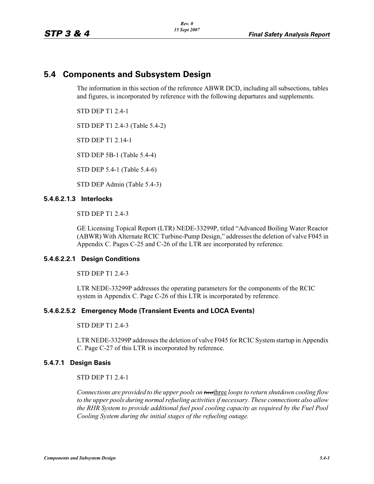# **5.4 Components and Subsystem Design**

The information in this section of the reference ABWR DCD, including all subsections, tables and figures, is incorporated by reference with the following departures and supplements.

STD DEP T1 2.4-1

STD DEP T1 2.4-3 (Table 5.4-2)

STD DEP T1 2.14-1

STD DEP 5B-1 (Table 5.4-4)

STD DEP 5.4-1 (Table 5.4-6)

STD DEP Admin (Table 5.4-3)

#### **5.4.6.2.1.3 Interlocks**

STD DEP T1 2.4-3

GE Licensing Topical Report (LTR) NEDE-33299P, titled "Advanced Boiling Water Reactor (ABWR) With Alternate RCIC Turbine-Pump Design," addresses the deletion of valve F045 in Appendix C. Pages C-25 and C-26 of the LTR are incorporated by reference.

#### **5.4.6.2.2.1 Design Conditions**

STD DEP T1 2.4-3

LTR NEDE-33299P addresses the operating parameters for the components of the RCIC system in Appendix C. Page C-26 of this LTR is incorporated by reference.

#### **5.4.6.2.5.2 Emergency Mode (Transient Events and LOCA Events)**

STD DEP T1 2.4-3

LTR NEDE-33299P addresses the deletion of valve F045 for RCIC System startup in Appendix C. Page C-27 of this LTR is incorporated by reference.

#### **5.4.7.1 Design Basis**

### STD DEP T1 2.4-1

*Connections are provided to the upper pools on two*three *loops to return shutdown cooling flow to the upper pools during normal refueling activities if necessary. These connections also allow the RHR System to provide additional fuel pool cooling capacity as required by the Fuel Pool Cooling System during the initial stages of the refueling outage.*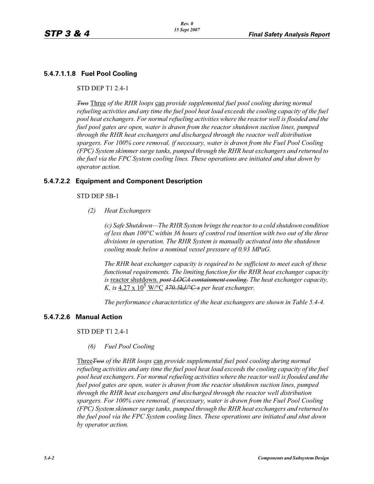# **5.4.7.1.1.8 Fuel Pool Cooling**

STD DEP T1 2.4-1

*<u><i>Two* Three</u> of the RHR loops can provide supplemental fuel pool cooling during normal *refueling activities and any time the fuel pool heat load exceeds the cooling capacity of the fuel pool heat exchangers. For normal refueling activities where the reactor well is flooded and the fuel pool gates are open, water is drawn from the reactor shutdown suction lines, pumped through the RHR heat exchangers and discharged through the reactor well distribution spargers. For 100% core removal, if necessary, water is drawn from the Fuel Pool Cooling (FPC) System skimmer surge tanks, pumped through the RHR heat exchangers and returned to the fuel via the FPC System cooling lines. These operations are initiated and shut down by operator action.*

#### **5.4.7.2.2 Equipment and Component Description**

STD DEP 5B-1

*(2) Heat Exchangers*

*(c) Safe Shutdown—The RHR System brings the reactor to a cold shutdown condition of less than 100°C within 36 hours of control rod insertion with two out of the three divisions in operation. The RHR System is manually activated into the shutdown cooling mode below a nominal vessel pressure of 0.93 MPaG.* 

*The RHR heat exchanger capacity is required to be sufficient to meet each of these functional requirements. The limiting function for the RHR heat exchanger capacity is* reactor shutdown. *post-LOCA containment cooling. The heat exchanger capacity,*  K, is  $4.27 \times 10^5$  W/ $\rm ^o\overline{C}$  370.5kJ/ $\rm ^oC$ -s per heat exchanger.

*The performance characteristics of the heat exchangers are shown in Table 5.4-4.*

#### **5.4.7.2.6 Manual Action**

STD DEP T1 2.4-1

*(6) Fuel Pool Cooling*

Three*Two of the RHR loops* can *provide supplemental fuel pool cooling during normal refueling activities and any time the fuel pool heat load exceeds the cooling capacity of the fuel pool heat exchangers. For normal refueling activities where the reactor well is flooded and the fuel pool gates are open, water is drawn from the reactor shutdown suction lines, pumped through the RHR heat exchangers and discharged through the reactor well distribution spargers. For 100% core removal, if necessary, water is drawn from the Fuel Pool Cooling (FPC) System skimmer surge tanks, pumped through the RHR heat exchangers and returned to the fuel pool via the FPC System cooling lines. These operations are initiated and shut down by operator action.*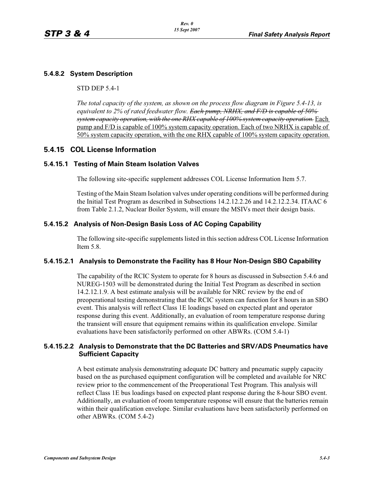## **5.4.8.2 System Description**

#### STD DEP 5.4-1

*The total capacity of the system, as shown on the process flow diagram in Figure 5.4-13, is equivalent to 2% of rated feedwater flow. Each pump, NRHX, and F/D is capable of 50% system capacity operation, with the one RHX capable of 100% system capacity operation.* Each pump and F/D is capable of 100% system capacity operation. Each of two NRHX is capable of 50% system capacity operation, with the one RHX capable of 100% system capacity operation.

# **5.4.15 COL License Information**

#### **5.4.15.1 Testing of Main Steam Isolation Valves**

The following site-specific supplement addresses COL License Information Item 5.7.

Testing of the Main Steam Isolation valves under operating conditions will be performed during the Initial Test Program as described in Subsections 14.2.12.2.26 and 14.2.12.2.34. ITAAC 6 from Table 2.1.2, Nuclear Boiler System, will ensure the MSIVs meet their design basis.

#### **5.4.15.2 Analysis of Non-Design Basis Loss of AC Coping Capability**

The following site-specific supplements listed in this section address COL License Information Item 5.8.

#### **5.4.15.2.1 Analysis to Demonstrate the Facility has 8 Hour Non-Design SBO Capability**

The capability of the RCIC System to operate for 8 hours as discussed in Subsection 5.4.6 and NUREG-1503 will be demonstrated during the Initial Test Program as described in section 14.2.12.1.9. A best estimate analysis will be available for NRC review by the end of preoperational testing demonstrating that the RCIC system can function for 8 hours in an SBO event. This analysis will reflect Class 1E loadings based on expected plant and operator response during this event. Additionally, an evaluation of room temperature response during the transient will ensure that equipment remains within its qualification envelope. Similar evaluations have been satisfactorily performed on other ABWRs. (COM 5.4-1)

#### **5.4.15.2.2 Analysis to Demonstrate that the DC Batteries and SRV/ADS Pneumatics have Sufficient Capacity**

A best estimate analysis demonstrating adequate DC battery and pneumatic supply capacity based on the as purchased equipment configuration will be completed and available for NRC review prior to the commencement of the Preoperational Test Program. This analysis will reflect Class 1E bus loadings based on expected plant response during the 8-hour SBO event. Additionally, an evaluation of room temperature response will ensure that the batteries remain within their qualification envelope. Similar evaluations have been satisfactorily performed on other ABWRs. (COM 5.4-2)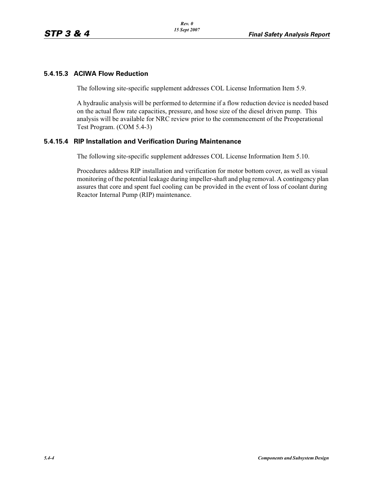## **5.4.15.3 ACIWA Flow Reduction**

The following site-specific supplement addresses COL License Information Item 5.9.

A hydraulic analysis will be performed to determine if a flow reduction device is needed based on the actual flow rate capacities, pressure, and hose size of the diesel driven pump. This analysis will be available for NRC review prior to the commencement of the Preoperational Test Program. (COM 5.4-3)

# **5.4.15.4 RIP Installation and Verification During Maintenance**

The following site-specific supplement addresses COL License Information Item 5.10.

Procedures address RIP installation and verification for motor bottom cover, as well as visual monitoring of the potential leakage during impeller-shaft and plug removal. A contingency plan assures that core and spent fuel cooling can be provided in the event of loss of coolant during Reactor Internal Pump (RIP) maintenance.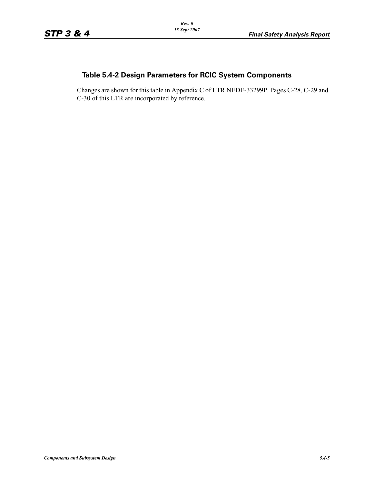# **Table 5.4-2 Design Parameters for RCIC System Components**

Changes are shown for this table in Appendix C of LTR NEDE-33299P. Pages C-28, C-29 and C-30 of this LTR are incorporated by reference.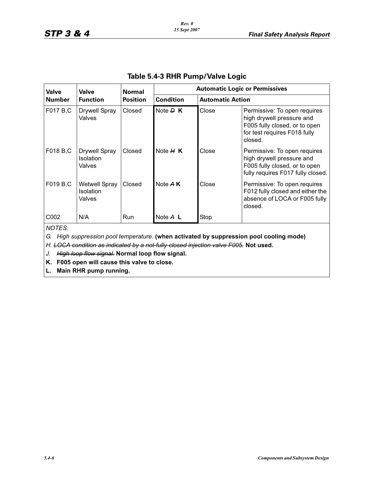| <b>Valve</b>  | <b>Valve</b><br><b>Function</b>                    | <b>Normal</b><br><b>Position</b> | <b>Automatic Logic or Permissives</b> |                         |                                                                                                                                       |  |  |
|---------------|----------------------------------------------------|----------------------------------|---------------------------------------|-------------------------|---------------------------------------------------------------------------------------------------------------------------------------|--|--|
| <b>Number</b> |                                                    |                                  | <b>Condition</b>                      | <b>Automatic Action</b> |                                                                                                                                       |  |  |
| F017 B,C      | <b>Drywell Spray</b><br>Valves                     | Closed                           | Note $\overline{P}$ K                 | Close                   | Permissive: To open requires<br>high drywell pressure and<br>F005 fully closed, or to open<br>for test requires F018 fully<br>closed. |  |  |
| F018 B,C      | <b>Drywell Spray</b><br><b>Isolation</b><br>Valves | Closed                           | Note $H K$                            | Close                   | Permissive: To open requires<br>high drywell pressure and<br>F005 fully closed, or to open<br>fully requires F017 fully closed.       |  |  |
| F019 B,C      | <b>Wetwell Spray</b><br><b>Isolation</b><br>Valves | Closed                           | Note A K                              | Close                   | Permissive: To open requires<br>F012 fully closed and either the<br>absence of LOCA or F005 fully<br>closed.                          |  |  |
| C002          | N/A                                                | <b>Run</b>                       | Note $A$ L                            | Stop                    |                                                                                                                                       |  |  |
| NOTES:        |                                                    |                                  |                                       |                         |                                                                                                                                       |  |  |

# **Table 5.4-3 RHR Pump/Valve Logic**

*G. High suppression pool temperature.* **(when activated by suppression pool cooling mode)**

*H. LOCA condition as indicated by a not-fully-closed injection valve F005.* **Not used.**

*J. High loop flow signal.* **Normal loop flow signal.**

**K. F005 open will cause this valve to close.**

**L. Main RHR pump running.**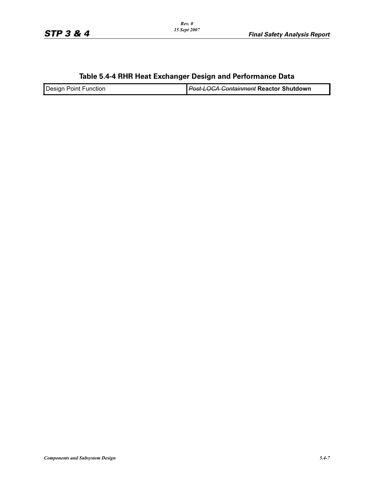# **Table 5.4-4 RHR Heat Exchanger Design and Performance Data**

| Desian<br>Point<br><b>Function</b> | <del>⊇ost-LOCA Containment</del> Reactor Shutdown |
|------------------------------------|---------------------------------------------------|
|                                    |                                                   |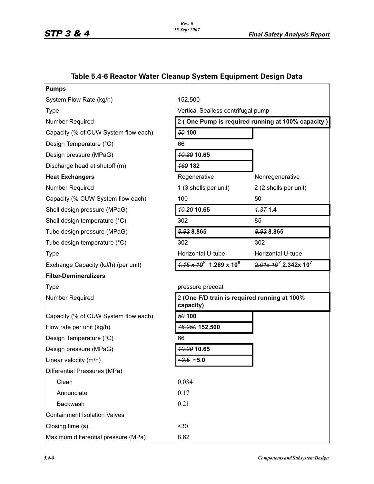| <b>Pumps</b>                         |                                                           |                                           |  |  |
|--------------------------------------|-----------------------------------------------------------|-------------------------------------------|--|--|
| System Flow Rate (kg/h)              | 152,500                                                   |                                           |  |  |
| <b>Type</b>                          | Vertical Sealless centrifugal pump                        |                                           |  |  |
| Number Required                      | 2 (One Pump is required running at 100% capacity)         |                                           |  |  |
| Capacity (% of CUW System flow each) | 50 100                                                    |                                           |  |  |
| Design Temperature (°C)              | 66                                                        |                                           |  |  |
| Design pressure (MPaG)               | 10.20 10.65                                               |                                           |  |  |
| Discharge head at shutoff (m)        | 160 182                                                   |                                           |  |  |
| <b>Heat Exchangers</b>               | Regenerative                                              | Nonregenerative                           |  |  |
| Number Required                      | 1 (3 shells per unit)                                     | 2 (2 shells per unit)                     |  |  |
| Capacity (% CUW System flow each)    | 100                                                       | 50                                        |  |  |
| Shell design pressure (MPaG)         | <b>40.20 10.65</b>                                        | 7.371.4                                   |  |  |
| Shell design temperature (°C)        | 302                                                       | 85                                        |  |  |
| Tube design pressure (MPaG)          | 8.838.865                                                 | 8.838.865                                 |  |  |
| Tube design temperature (°C)         | 302                                                       | 302                                       |  |  |
| <b>Type</b>                          | Horizontal U-tube                                         | Horizontal U-tube                         |  |  |
| Exchange Capacity (kJ/h) (per unit)  | $\frac{1.15 \times 10^8}{1.269 \times 10^8}$              | $2.01 \times 10^7$ 2.342x 10 <sup>7</sup> |  |  |
| <b>Filter-Demineralizers</b>         |                                                           |                                           |  |  |
| <b>Type</b>                          | pressure precoat                                          |                                           |  |  |
| Number Required                      | 2 (One F/D train is required running at 100%<br>capacity) |                                           |  |  |
| Capacity (% of CUW System flow each) | 50 100                                                    |                                           |  |  |
| Flow rate per unit (kg/h)            | 76,250 152,500                                            |                                           |  |  |
| Design Temperature (°C)              | 66                                                        |                                           |  |  |
| Design pressure (MPaG)               | 10.20 10.65                                               |                                           |  |  |
| Linear velocity (m/h)                | $-2.5 - 5.0$                                              |                                           |  |  |
| Differential Pressures (MPa)         |                                                           |                                           |  |  |
| Clean                                | 0.034                                                     |                                           |  |  |
| Annunciate                           | 0.17                                                      |                                           |  |  |
| Backwash                             | 0.21                                                      |                                           |  |  |
| <b>Containment Isolation Valves</b>  |                                                           |                                           |  |  |
| Closing time (s)                     | $30$                                                      |                                           |  |  |
| Maximum differential pressure (MPa)  | 8.62                                                      |                                           |  |  |

# **Table 5.4-6 Reactor Water Cleanup System Equipment Design Data**